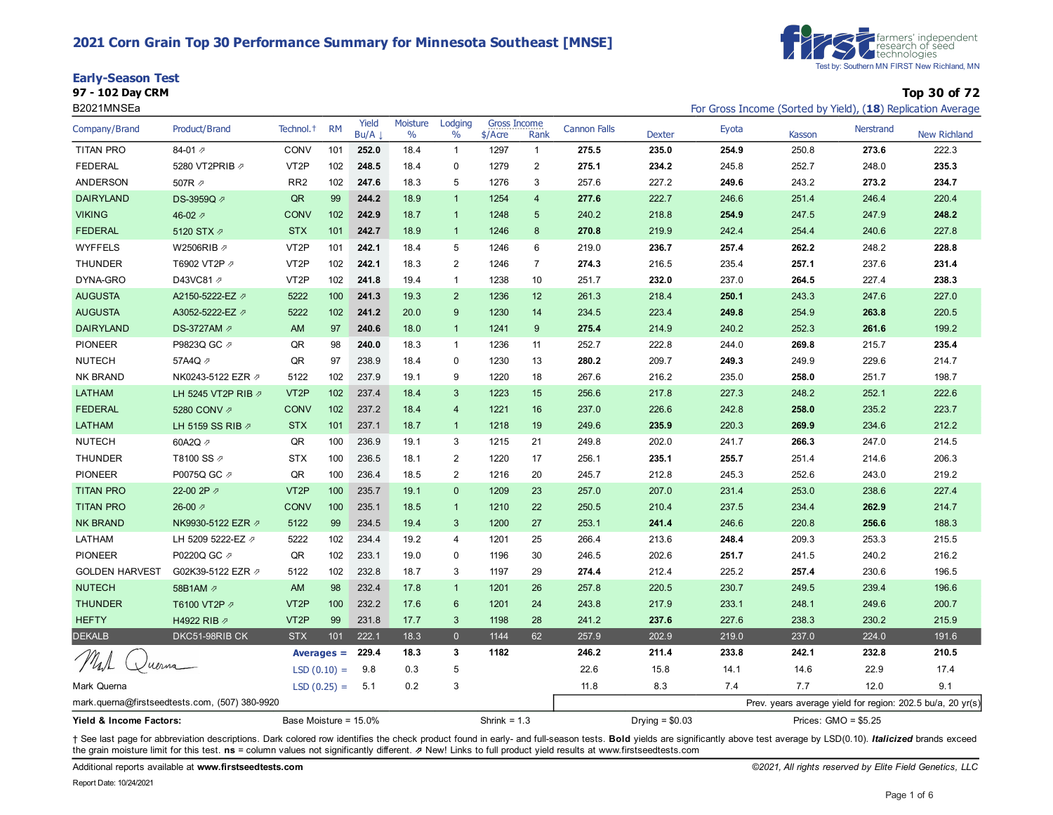#### **2021 Corn Grain Top 30 Performance Summary for Minnesota Southeast [MNSE]**

| <b>Early-Season Test</b> |
|--------------------------|
| 67 - 489 B.J. ABH        |



**97 - 102 Day CRM Top 30 of 72**

| B2021MNSEa              |                                                |                       |               |               |                  |                 |                                |                         |                     |                  |       |        |                       | For Gross Income (Sorted by Yield), (18) Replication Average |
|-------------------------|------------------------------------------------|-----------------------|---------------|---------------|------------------|-----------------|--------------------------------|-------------------------|---------------------|------------------|-------|--------|-----------------------|--------------------------------------------------------------|
| Company/Brand           | Product/Brand                                  | Technol. <sup>+</sup> | <b>RM</b>     | Yield<br>Bu/A | Moisture<br>$\%$ | Lodging<br>$\%$ | <b>Gross Income</b><br>\$/Acre | Rank                    | <b>Cannon Falls</b> | <b>Dexter</b>    | Eyota | Kasson | <b>Nerstrand</b>      | <b>New Richland</b>                                          |
| <b>TITAN PRO</b>        | 84-01 $\n  7$                                  | <b>CONV</b>           | 101           | 252.0         | 18.4             | $\mathbf{1}$    | 1297                           | $\mathbf{1}$            | 275.5               | 235.0            | 254.9 | 250.8  | 273.6                 | 222.3                                                        |
| <b>FEDERAL</b>          | 5280 VT2PRIB 2                                 | VT <sub>2</sub> P     | 102           | 248.5         | 18.4             | $\mathbf 0$     | 1279                           | $\overline{\mathbf{c}}$ | 275.1               | 234.2            | 245.8 | 252.7  | 248.0                 | 235.3                                                        |
| <b>ANDERSON</b>         | 507R 2                                         | RR <sub>2</sub>       | 102           | 247.6         | 18.3             | 5               | 1276                           | 3                       | 257.6               | 227.2            | 249.6 | 243.2  | 273.2                 | 234.7                                                        |
| <b>DAIRYLAND</b>        | DS-3959Q 2                                     | QR                    | 99            | 244.2         | 18.9             | $\overline{1}$  | 1254                           | $\overline{4}$          | 277.6               | 222.7            | 246.6 | 251.4  | 246.4                 | 220.4                                                        |
| <b>VIKING</b>           | 46-02 $\n  7\n$                                | <b>CONV</b>           | 102           | 242.9         | 18.7             | $\overline{1}$  | 1248                           | 5                       | 240.2               | 218.8            | 254.9 | 247.5  | 247.9                 | 248.2                                                        |
| <b>FEDERAL</b>          | 5120 STX $\varnothing$                         | <b>STX</b>            | 101           | 242.7         | 18.9             | $\overline{1}$  | 1246                           | $\bf 8$                 | 270.8               | 219.9            | 242.4 | 254.4  | 240.6                 | 227.8                                                        |
| <b>WYFFELS</b>          | W2506RIB 2                                     | VT <sub>2</sub> P     | 101           | 242.1         | 18.4             | 5               | 1246                           | 6                       | 219.0               | 236.7            | 257.4 | 262.2  | 248.2                 | 228.8                                                        |
| <b>THUNDER</b>          | T6902 VT2P 2                                   | VT <sub>2</sub> P     | 102           | 242.1         | 18.3             | 2               | 1246                           | $\overline{7}$          | 274.3               | 216.5            | 235.4 | 257.1  | 237.6                 | 231.4                                                        |
| DYNA-GRO                | D43VC81 2                                      | VT <sub>2</sub> P     | 102           | 241.8         | 19.4             | $\mathbf{1}$    | 1238                           | 10                      | 251.7               | 232.0            | 237.0 | 264.5  | 227.4                 | 238.3                                                        |
| <b>AUGUSTA</b>          | A2150-5222-EZ 2                                | 5222                  | 100           | 241.3         | 19.3             | $\overline{2}$  | 1236                           | 12                      | 261.3               | 218.4            | 250.1 | 243.3  | 247.6                 | 227.0                                                        |
| <b>AUGUSTA</b>          | A3052-5222-EZ 2                                | 5222                  | 102           | 241.2         | 20.0             | 9               | 1230                           | 14                      | 234.5               | 223.4            | 249.8 | 254.9  | 263.8                 | 220.5                                                        |
| <b>DAIRYLAND</b>        | DS-3727AM 2                                    | AM                    | 97            | 240.6         | 18.0             | $\mathbf{1}$    | 1241                           | $9\,$                   | 275.4               | 214.9            | 240.2 | 252.3  | 261.6                 | 199.2                                                        |
| <b>PIONEER</b>          | P9823Q GC 2                                    | QR                    | 98            | 240.0         | 18.3             | $\mathbf{1}$    | 1236                           | 11                      | 252.7               | 222.8            | 244.0 | 269.8  | 215.7                 | 235.4                                                        |
| <b>NUTECH</b>           | 57A4Q 2                                        | QR                    | 97            | 238.9         | 18.4             | $\mathbf 0$     | 1230                           | 13                      | 280.2               | 209.7            | 249.3 | 249.9  | 229.6                 | 214.7                                                        |
| NK BRAND                | NK0243-5122 EZR の                              | 5122                  | 102           | 237.9         | 19.1             | 9               | 1220                           | 18                      | 267.6               | 216.2            | 235.0 | 258.0  | 251.7                 | 198.7                                                        |
| LATHAM                  | LH 5245 VT2P RIB 2                             | VT <sub>2P</sub>      | 102           | 237.4         | 18.4             | $\mathbf{3}$    | 1223                           | 15                      | 256.6               | 217.8            | 227.3 | 248.2  | 252.1                 | 222.6                                                        |
| <b>FEDERAL</b>          | 5280 CONV 2                                    | <b>CONV</b>           | 102           | 237.2         | 18.4             | $\overline{4}$  | 1221                           | 16                      | 237.0               | 226.6            | 242.8 | 258.0  | 235.2                 | 223.7                                                        |
| <b>LATHAM</b>           | LH 5159 SS RIB 2                               | <b>STX</b>            | 101           | 237.1         | 18.7             | $\overline{1}$  | 1218                           | 19                      | 249.6               | 235.9            | 220.3 | 269.9  | 234.6                 | 212.2                                                        |
| <b>NUTECH</b>           | 60A2Q 2                                        | QR                    | 100           | 236.9         | 19.1             | 3               | 1215                           | 21                      | 249.8               | 202.0            | 241.7 | 266.3  | 247.0                 | 214.5                                                        |
| <b>THUNDER</b>          | T8100 SS ⊉                                     | <b>STX</b>            | 100           | 236.5         | 18.1             | $\overline{c}$  | 1220                           | 17                      | 256.1               | 235.1            | 255.7 | 251.4  | 214.6                 | 206.3                                                        |
| <b>PIONEER</b>          | P0075Q GC 2                                    | QR                    | 100           | 236.4         | 18.5             | 2               | 1216                           | 20                      | 245.7               | 212.8            | 245.3 | 252.6  | 243.0                 | 219.2                                                        |
| <b>TITAN PRO</b>        | 22-00 2P 2                                     | VT <sub>2</sub> P     | 100           | 235.7         | 19.1             | $\mathbf{0}$    | 1209                           | 23                      | 257.0               | 207.0            | 231.4 | 253.0  | 238.6                 | 227.4                                                        |
| <b>TITAN PRO</b>        | 26-00 $\n $                                    | <b>CONV</b>           | 100           | 235.1         | 18.5             | $\overline{1}$  | 1210                           | 22                      | 250.5               | 210.4            | 237.5 | 234.4  | 262.9                 | 214.7                                                        |
| <b>NK BRAND</b>         | NK9930-5122 EZR Ø                              | 5122                  | 99            | 234.5         | 19.4             | 3               | 1200                           | 27                      | 253.1               | 241.4            | 246.6 | 220.8  | 256.6                 | 188.3                                                        |
| LATHAM                  | LH 5209 5222-EZ 2                              | 5222                  | 102           | 234.4         | 19.2             | $\overline{4}$  | 1201                           | 25                      | 266.4               | 213.6            | 248.4 | 209.3  | 253.3                 | 215.5                                                        |
| <b>PIONEER</b>          | P0220Q GC 2                                    | QR                    | 102           | 233.1         | 19.0             | 0               | 1196                           | 30                      | 246.5               | 202.6            | 251.7 | 241.5  | 240.2                 | 216.2                                                        |
| <b>GOLDEN HARVEST</b>   | G02K39-5122 EZR 2                              | 5122                  | 102           | 232.8         | 18.7             | 3               | 1197                           | 29                      | 274.4               | 212.4            | 225.2 | 257.4  | 230.6                 | 196.5                                                        |
| <b>NUTECH</b>           | 58B1AM 2                                       | AM                    | 98            | 232.4         | 17.8             | $\mathbf{1}$    | 1201                           | 26                      | 257.8               | 220.5            | 230.7 | 249.5  | 239.4                 | 196.6                                                        |
| <b>THUNDER</b>          | T6100 VT2P 2                                   | VT <sub>2</sub> P     | 100           | 232.2         | 17.6             | $6\phantom{1}6$ | 1201                           | 24                      | 243.8               | 217.9            | 233.1 | 248.1  | 249.6                 | 200.7                                                        |
| <b>HEFTY</b>            | H4922 RIB 2                                    | VT <sub>2</sub> P     | 99            | 231.8         | 17.7             | $\mathbf{3}$    | 1198                           | 28                      | 241.2               | 237.6            | 227.6 | 238.3  | 230.2                 | 215.9                                                        |
| <b>DEKALB</b>           | DKC51-98RIB CK                                 | <b>STX</b>            | 101           | 222.1         | 18.3             | $\mathbf{0}$    | 1144                           | 62                      | 257.9               | 202.9            | 219.0 | 237.0  | 224.0                 | 191.6                                                        |
|                         |                                                |                       | Averages $=$  | 229.4         | 18.3             | 3               | 1182                           |                         | 246.2               | 211.4            | 233.8 | 242.1  | 232.8                 | 210.5                                                        |
|                         | uerna                                          |                       | $LSD(0.10) =$ | 9.8           | 0.3              | 5               |                                |                         | 22.6                | 15.8             | 14.1  | 14.6   | 22.9                  | 17.4                                                         |
| Mark Querna             |                                                |                       | $LSD(0.25) =$ | 5.1           | 0.2              | 3               |                                |                         | 11.8                | 8.3              | 7.4   | 7.7    | 12.0                  | 9.1                                                          |
|                         | mark.querna@firstseedtests.com, (507) 380-9920 |                       |               |               |                  |                 |                                |                         |                     |                  |       |        |                       | Prev. years average yield for region: 202.5 bu/a, 20 yr(s)   |
| Yield & Income Factors: |                                                | Base Moisture = 15.0% |               |               |                  |                 | Shrink = $1.3$                 |                         |                     | Drying = $$0.03$ |       |        | Prices: $GMO = $5.25$ |                                                              |

+ See last page for abbreviation descriptions. Dark colored row identifies the check product found in early- and full-season tests. Bold yields are significantly above test average by LSD(0.10). Italicized brands exceed the grain moisture limit for this test. **ns** = column values not significantly different. ⇗ New! Links to full product yield results at www.firstseedtests.com

Additional reports available at **[www.firstseedtests.com](https://www.firstseedtests.com)** *©2021, All rights reserved by Elite Field Genetics, LLC*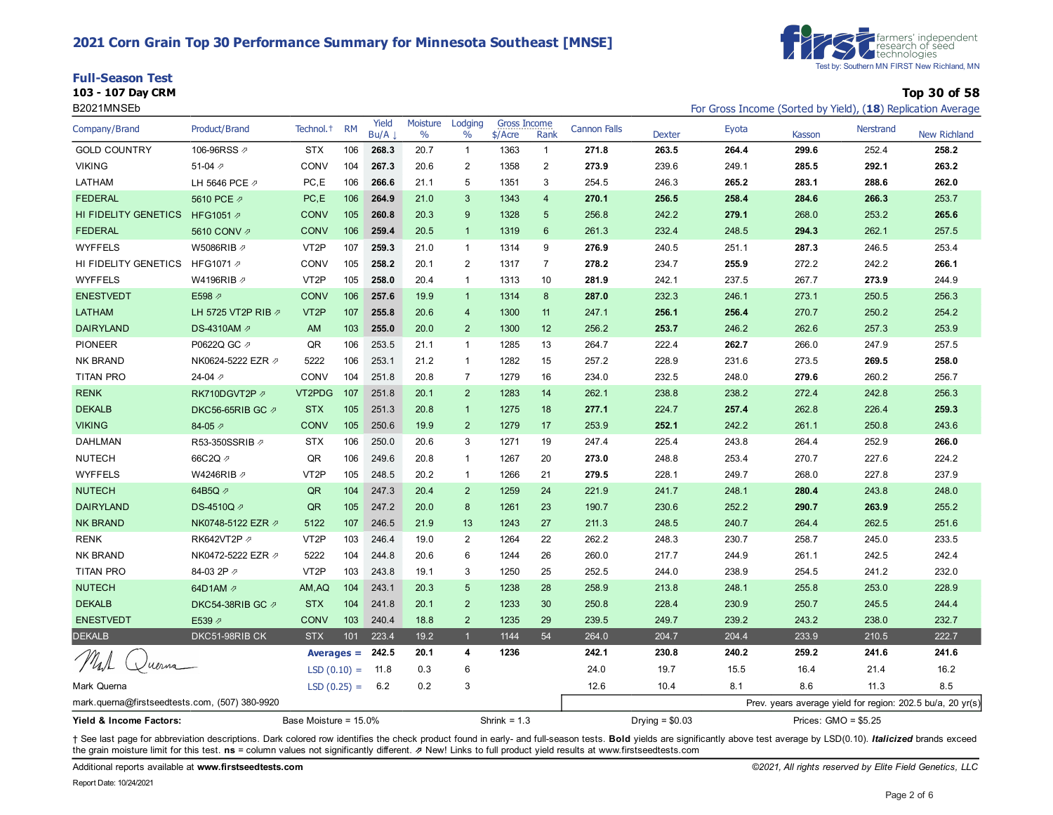#### **2021 Corn Grain Top 30 Performance Summary for Minnesota Southeast [MNSE]**

|  |  | <b>Full-Season Test</b> |
|--|--|-------------------------|
|  |  | 103 - 107 Day CDN       |



**103 - 107 Day CRM Top 30 of 58**

| B2021MNSEb                                     |                     |                       |           |               |                  |                  |                                  |                         |                     |                  |       |        |                      | For Gross Income (Sorted by Yield), (18) Replication Average |
|------------------------------------------------|---------------------|-----------------------|-----------|---------------|------------------|------------------|----------------------------------|-------------------------|---------------------|------------------|-------|--------|----------------------|--------------------------------------------------------------|
| Company/Brand                                  | Product/Brand       | Technol. <sup>+</sup> | <b>RM</b> | Yield<br>Bu/A | Moisture<br>$\%$ | Lodging<br>$\%$  | <b>Gross Income</b><br>$$/$ Acre | Rank                    | <b>Cannon Falls</b> | <b>Dexter</b>    | Eyota | Kasson | <b>Nerstrand</b>     | <b>New Richland</b>                                          |
| <b>GOLD COUNTRY</b>                            | 106-96RSS 2         | <b>STX</b>            | 106       | 268.3         | 20.7             | $\mathbf{1}$     | 1363                             | 1                       | 271.8               | 263.5            | 264.4 | 299.6  | 252.4                | 258.2                                                        |
| <b>VIKING</b>                                  | 51-04 $\not$        | CONV                  | 104       | 267.3         | 20.6             | $\boldsymbol{2}$ | 1358                             | $\overline{\mathbf{c}}$ | 273.9               | 239.6            | 249.1 | 285.5  | 292.1                | 263.2                                                        |
| LATHAM                                         | LH 5646 PCE 2       | PC, E                 | 106       | 266.6         | 21.1             | 5                | 1351                             | 3                       | 254.5               | 246.3            | 265.2 | 283.1  | 288.6                | 262.0                                                        |
| <b>FEDERAL</b>                                 | 5610 PCE 2          | PC, E                 | 106       | 264.9         | 21.0             | 3                | 1343                             | $\overline{4}$          | 270.1               | 256.5            | 258.4 | 284.6  | 266.3                | 253.7                                                        |
| HI FIDELITY GENETICS                           | HFG1051 2           | <b>CONV</b>           | 105       | 260.8         | 20.3             | $9\,$            | 1328                             | 5                       | 256.8               | 242.2            | 279.1 | 268.0  | 253.2                | 265.6                                                        |
| <b>FEDERAL</b>                                 | 5610 CONV 2         | <b>CONV</b>           | 106       | 259.4         | 20.5             | $\overline{1}$   | 1319                             | $6\phantom{a}$          | 261.3               | 232.4            | 248.5 | 294.3  | 262.1                | 257.5                                                        |
| <b>WYFFELS</b>                                 | W5086RIB 2          | VT <sub>2</sub> P     | 107       | 259.3         | 21.0             | $\mathbf{1}$     | 1314                             | 9                       | 276.9               | 240.5            | 251.1 | 287.3  | 246.5                | 253.4                                                        |
| HI FIDELITY GENETICS                           | HFG1071 2           | CONV                  | 105       | 258.2         | 20.1             | $\overline{2}$   | 1317                             | $\overline{7}$          | 278.2               | 234.7            | 255.9 | 272.2  | 242.2                | 266.1                                                        |
| <b>WYFFELS</b>                                 | W4196RIB 2          | VT <sub>2</sub> P     | 105       | 258.0         | 20.4             | $\mathbf{1}$     | 1313                             | 10                      | 281.9               | 242.1            | 237.5 | 267.7  | 273.9                | 244.9                                                        |
| <b>ENESTVEDT</b>                               | E598 2              | <b>CONV</b>           | 106       | 257.6         | 19.9             | $\mathbf{1}$     | 1314                             | 8                       | 287.0               | 232.3            | 246.1 | 273.1  | 250.5                | 256.3                                                        |
| <b>LATHAM</b>                                  | LH 5725 VT2P RIB 2  | VT <sub>2</sub> P     | 107       | 255.8         | 20.6             | 4                | 1300                             | 11                      | 247.1               | 256.1            | 256.4 | 270.7  | 250.2                | 254.2                                                        |
| <b>DAIRYLAND</b>                               | DS-4310AM 2         | <b>AM</b>             | 103       | 255.0         | 20.0             | $\overline{2}$   | 1300                             | 12                      | 256.2               | 253.7            | 246.2 | 262.6  | 257.3                | 253.9                                                        |
| <b>PIONEER</b>                                 | P0622Q GC 2         | QR                    | 106       | 253.5         | 21.1             | $\mathbf{1}$     | 1285                             | 13                      | 264.7               | 222.4            | 262.7 | 266.0  | 247.9                | 257.5                                                        |
| <b>NK BRAND</b>                                | NK0624-5222 EZR Ø   | 5222                  | 106       | 253.1         | 21.2             | $\mathbf{1}$     | 1282                             | 15                      | 257.2               | 228.9            | 231.6 | 273.5  | 269.5                | 258.0                                                        |
| TITAN PRO                                      | 24-04 $\n  7$       | CONV                  | 104       | 251.8         | 20.8             | $\overline{7}$   | 1279                             | 16                      | 234.0               | 232.5            | 248.0 | 279.6  | 260.2                | 256.7                                                        |
| <b>RENK</b>                                    | RK710DGVT2P         | VT2PDG                | 107       | 251.8         | 20.1             | $\overline{2}$   | 1283                             | 14                      | 262.1               | 238.8            | 238.2 | 272.4  | 242.8                | 256.3                                                        |
| <b>DEKALB</b>                                  | DKC56-65RIB GC の    | <b>STX</b>            | 105       | 251.3         | 20.8             | $\mathbf{1}$     | 1275                             | 18                      | 277.1               | 224.7            | 257.4 | 262.8  | 226.4                | 259.3                                                        |
| <b>VIKING</b>                                  | 84-05 $\varnothing$ | <b>CONV</b>           | 105       | 250.6         | 19.9             | $\overline{2}$   | 1279                             | 17                      | 253.9               | 252.1            | 242.2 | 261.1  | 250.8                | 243.6                                                        |
| <b>DAHLMAN</b>                                 | R53-350SSRIB 2      | <b>STX</b>            | 106       | 250.0         | 20.6             | 3                | 1271                             | 19                      | 247.4               | 225.4            | 243.8 | 264.4  | 252.9                | 266.0                                                        |
| <b>NUTECH</b>                                  | 66C2Q 2             | QR                    | 106       | 249.6         | 20.8             | $\mathbf{1}$     | 1267                             | 20                      | 273.0               | 248.8            | 253.4 | 270.7  | 227.6                | 224.2                                                        |
| <b>WYFFELS</b>                                 | W4246RIB 2          | VT <sub>2</sub> P     | 105       | 248.5         | 20.2             | $\mathbf{1}$     | 1266                             | 21                      | 279.5               | 228.1            | 249.7 | 268.0  | 227.8                | 237.9                                                        |
| <b>NUTECH</b>                                  | 64B5Q 2             | QR                    | 104       | 247.3         | 20.4             | $\overline{c}$   | 1259                             | 24                      | 221.9               | 241.7            | 248.1 | 280.4  | 243.8                | 248.0                                                        |
| <b>DAIRYLAND</b>                               | DS-4510Q 2          | QR                    | 105       | 247.2         | 20.0             | 8                | 1261                             | 23                      | 190.7               | 230.6            | 252.2 | 290.7  | 263.9                | 255.2                                                        |
| <b>NK BRAND</b>                                | NK0748-5122 EZR Ø   | 5122                  | 107       | 246.5         | 21.9             | 13               | 1243                             | 27                      | 211.3               | 248.5            | 240.7 | 264.4  | 262.5                | 251.6                                                        |
| <b>RENK</b>                                    | RK642VT2P 2         | VT <sub>2</sub> P     | 103       | 246.4         | 19.0             | $\overline{2}$   | 1264                             | 22                      | 262.2               | 248.3            | 230.7 | 258.7  | 245.0                | 233.5                                                        |
| <b>NK BRAND</b>                                | NK0472-5222 EZR Ø   | 5222                  | 104       | 244.8         | 20.6             | 6                | 1244                             | 26                      | 260.0               | 217.7            | 244.9 | 261.1  | 242.5                | 242.4                                                        |
| <b>TITAN PRO</b>                               | 84-03 2P 2          | VT <sub>2</sub> P     | 103       | 243.8         | 19.1             | 3                | 1250                             | 25                      | 252.5               | 244.0            | 238.9 | 254.5  | 241.2                | 232.0                                                        |
| <b>NUTECH</b>                                  | 64D1AM 2            | AM, AQ                | 104       | 243.1         | 20.3             | 5                | 1238                             | 28                      | 258.9               | 213.8            | 248.1 | 255.8  | 253.0                | 228.9                                                        |
| <b>DEKALB</b>                                  | DKC54-38RIB GC の    | <b>STX</b>            | 104       | 241.8         | 20.1             | $\overline{2}$   | 1233                             | 30                      | 250.8               | 228.4            | 230.9 | 250.7  | 245.5                | 244.4                                                        |
| <b>ENESTVEDT</b>                               | E539 2              | <b>CONV</b>           | 103       | 240.4         | 18.8             | $\overline{2}$   | 1235                             | 29                      | 239.5               | 249.7            | 239.2 | 243.2  | 238.0                | 232.7                                                        |
| <b>DEKALB</b>                                  | DKC51-98RIB CK      | <b>STX</b>            | 101       | 223.4         | 19.2             | $\overline{1}$   | 1144                             | 54                      | 264.0               | 204.7            | 204.4 | 233.9  | 210.5                | 222.7                                                        |
|                                                |                     | Averages $=$          |           | 242.5         | 20.1             | 4                | 1236                             |                         | 242.1               | 230.8            | 240.2 | 259.2  | 241.6                | 241.6                                                        |
| uerna                                          |                     | $LSD(0.10) =$         |           | 11.8          | 0.3              | 6                |                                  |                         | 24.0                | 19.7             | 15.5  | 16.4   | 21.4                 | 16.2                                                         |
| Mark Querna                                    |                     | $LSD(0.25) = 6.2$     |           |               | 0.2              | 3                |                                  |                         | 12.6                | 10.4             | 8.1   | 8.6    | 11.3                 | 8.5                                                          |
| mark.querna@firstseedtests.com, (507) 380-9920 |                     |                       |           |               |                  |                  |                                  |                         |                     |                  |       |        |                      | Prev. years average yield for region: 202.5 bu/a, 20 yr(s)   |
| Yield & Income Factors:                        |                     | Base Moisture = 15.0% |           |               |                  |                  | Shrink = $1.3$                   |                         |                     | Drying = $$0.03$ |       |        | Prices: GMO = \$5.25 |                                                              |

+ See last page for abbreviation descriptions. Dark colored row identifies the check product found in early- and full-season tests. Bold yields are significantly above test average by LSD(0.10). Italicized brands exceed the grain moisture limit for this test. **ns** = column values not significantly different. ⇗ New! Links to full product yield results at www.firstseedtests.com

Additional reports available at **[www.firstseedtests.com](https://www.firstseedtests.com)** *©2021, All rights reserved by Elite Field Genetics, LLC* 

Report Date: 10/24/2021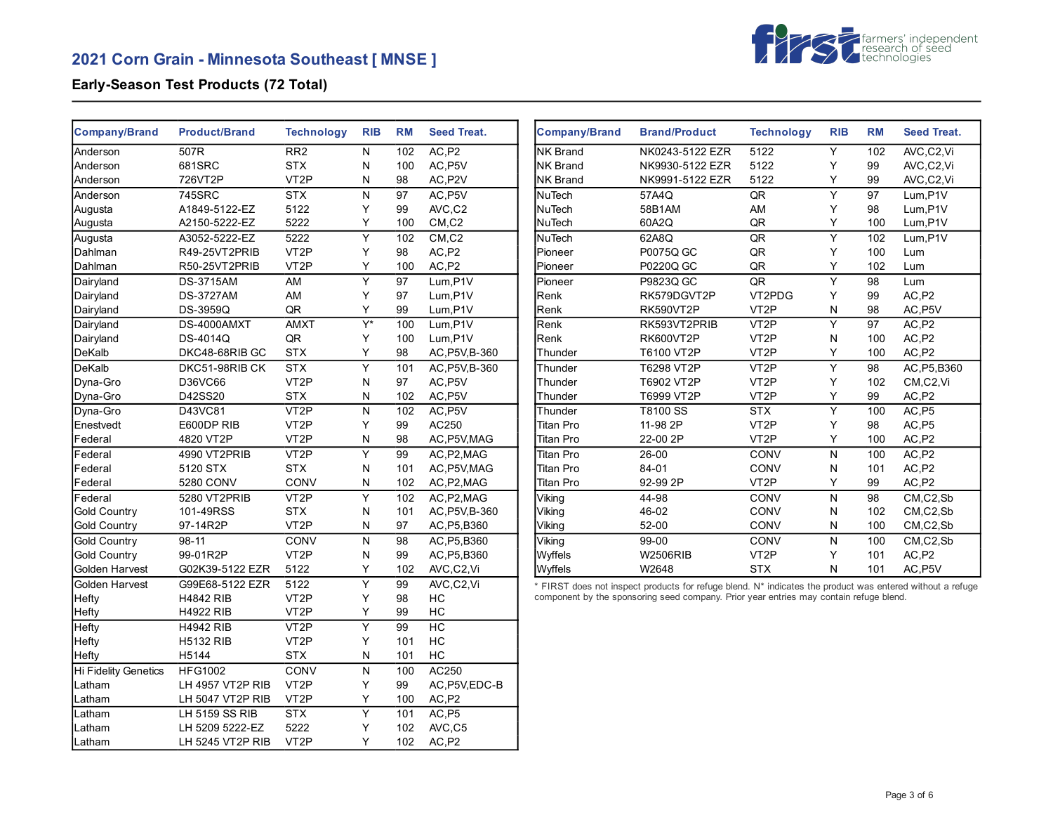# **2021 Corn Grain - Minnesota Southeast [ MNSE ]**



## **Early-Season Test Products (72 Total)**

| <b>Company/Brand</b>        | <b>Product/Brand</b> | <b>Technology</b> | <b>RIB</b>       | <b>RM</b>       | <b>Seed Treat.</b> | <b>Company/Brand</b> | <b>Brand/Product</b>                                                                                      | <b>Technology</b> | <b>RIB</b>     | <b>RM</b> | <b>Seed Treat.</b> |
|-----------------------------|----------------------|-------------------|------------------|-----------------|--------------------|----------------------|-----------------------------------------------------------------------------------------------------------|-------------------|----------------|-----------|--------------------|
| Anderson                    | 507R                 | RR <sub>2</sub>   | N                | 102             | AC, P2             | <b>NK Brand</b>      | NK0243-5122 EZR                                                                                           | 5122              | Y              | 102       | AVC,C2,Vi          |
| Anderson                    | 681SRC               | <b>STX</b>        | N                | 100             | AC, P5V            | <b>NK Brand</b>      | NK9930-5122 EZR                                                                                           | 5122              | Υ              | 99        | AVC,C2,Vi          |
| Anderson                    | 726VT2P              | VT <sub>2</sub> P | ${\sf N}$        | 98              | AC, P2V            | NK Brand             | NK9991-5122 EZR                                                                                           | 5122              | Y              | 99        | AVC,C2,Vi          |
| Anderson                    | 745SRC               | <b>STX</b>        | N                | 97              | AC, P5V            | NuTech               | 57A4Q                                                                                                     | ${\sf QR}$        | $\overline{Y}$ | 97        | Lum, P1V           |
| Augusta                     | A1849-5122-EZ        | 5122              | Υ                | 99              | AVC,C2             | NuTech               | 58B1AM                                                                                                    | AM                | Υ              | 98        | Lum, P1V           |
| Augusta                     | A2150-5222-EZ        | 5222              | Υ                | 100             | CM, C2             | <b>NuTech</b>        | 60A2Q                                                                                                     | QR                | Y              | 100       | Lum,P1V            |
| Augusta                     | A3052-5222-EZ        | 5222              | Υ                | 102             | CM, C2             | NuTech               | 62A8Q                                                                                                     | QR                | Υ              | 102       | Lum,P1V            |
| Dahlman                     | R49-25VT2PRIB        | VT <sub>2</sub> P | Y                | 98              | AC, P2             | Pioneer              | P0075Q GC                                                                                                 | QR                | Y              | 100       | Lum                |
| Dahlman                     | R50-25VT2PRIB        | VT <sub>2</sub> P | Y                | 100             | AC, P2             | Pioneer              | P0220Q GC                                                                                                 | QR                | Y              | 102       | Lum                |
| Dairyland                   | <b>DS-3715AM</b>     | AM                | $\overline{Y}$   | $\overline{97}$ | Lum, P1V           | Pioneer              | P9823Q GC                                                                                                 | QR                | Y              | 98        | Lum                |
| Dairyland                   | <b>DS-3727AM</b>     | AM                | Y                | 97              | Lum,P1V            | Renk                 | RK579DGVT2P                                                                                               | VT2PDG            | Y              | 99        | AC,P2              |
| Dairyland                   | DS-3959Q             | $\sf QR$          | Υ                | 99              | Lum, P1V           | Renk                 | RK590VT2P                                                                                                 | VT <sub>2</sub> P | ${\sf N}$      | 98        | AC, P5V            |
| Dairyland                   | DS-4000AMXT          | <b>AMXT</b>       | $\overline{Y^*}$ | 100             | Lum.P1V            | Renk                 | RK593VT2PRIB                                                                                              | VT <sub>2</sub> P | Y              | 97        | AC,P2              |
| Dairyland                   | DS-4014Q             | ${\sf QR}$        | Υ                | 100             | Lum, P1V           | Renk                 | RK600VT2P                                                                                                 | VT <sub>2</sub> P | N              | 100       | AC,P2              |
| DeKalb                      | DKC48-68RIB GC       | <b>STX</b>        | Υ                | 98              | AC, P5V, B-360     | Thunder              | T6100 VT2P                                                                                                | VT <sub>2</sub> P | Y              | 100       | AC,P2              |
| DeKalb                      | DKC51-98RIB CK       | <b>STX</b>        | $\overline{Y}$   | 101             | AC, P5V, B-360     | Thunder              | T6298 VT2P                                                                                                | $\overline{VT2P}$ | Y              | 98        | AC, P5, B360       |
| Dyna-Gro                    | D36VC66              | VT <sub>2</sub> P | N                | 97              | AC, P5V            | Thunder              | T6902 VT2P                                                                                                | VT <sub>2</sub> P | Υ              | 102       | CM,C2,Vi           |
| Dyna-Gro                    | D42SS20              | <b>STX</b>        | ${\sf N}$        | 102             | AC, P5V            | Thunder              | T6999 VT2P                                                                                                | VT <sub>2</sub> P | Y              | 99        | AC,P2              |
| Dyna-Gro                    | D43VC81              | VT <sub>2P</sub>  | N                | 102             | AC, P5V            | Thunder              | T8100 SS                                                                                                  | <b>STX</b>        | Y              | 100       | AC,P5              |
| Enestvedt                   | E600DP RIB           | VT <sub>2</sub> P | Y                | 99              | AC250              | Titan Pro            | 11-98 2P                                                                                                  | VT <sub>2</sub> P | Υ              | 98        | AC,P5              |
| Federal                     | 4820 VT2P            | VT <sub>2</sub> P | N                | 98              | AC, P5V, MAG       | Titan Pro            | 22-00 2P                                                                                                  | VT <sub>2</sub> P | Υ              | 100       | AC,P2              |
| Federal                     | 4990 VT2PRIB         | VT <sub>2P</sub>  | Y                | 99              | AC, P2, MAG        | Titan Pro            | $26-00$                                                                                                   | CONV              | N              | 100       | AC,P2              |
| Federal                     | 5120 STX             | <b>STX</b>        | N                | 101             | AC, P5V, MAG       | Titan Pro            | 84-01                                                                                                     | CONV              | N              | 101       | AC,P2              |
| Federal                     | 5280 CONV            | <b>CONV</b>       | N                | 102             | AC, P2, MAG        | Titan Pro            | 92-99 2P                                                                                                  | VT <sub>2</sub> P | Y              | 99        | AC, P2             |
| Federal                     | 5280 VT2PRIB         | VT <sub>2</sub> P | $\overline{Y}$   | 102             | AC, P2, MAG        | Viking               | 44-98                                                                                                     | CONV              | $\mathsf{N}$   | 98        | CM, C2, Sb         |
| Gold Country                | 101-49RSS            | <b>STX</b>        | N                | 101             | AC, P5V, B-360     | Viking               | 46-02                                                                                                     | CONV              | ${\sf N}$      | 102       | CM, C2, Sb         |
| <b>Gold Country</b>         | 97-14R2P             | VT <sub>2</sub> P | $\mathsf{N}$     | 97              | AC, P5, B360       | Viking               | 52-00                                                                                                     | CONV              | N              | 100       | CM,C2,Sb           |
| Gold Country                | 98-11                | <b>CONV</b>       | N                | 98              | AC, P5, B360       | Viking               | 99-00                                                                                                     | <b>CONV</b>       | ${\sf N}$      | 100       | CM,C2,Sb           |
| <b>Gold Country</b>         | 99-01R2P             | VT <sub>2</sub> P | $\mathsf{N}$     | 99              | AC, P5, B360       | Wyffels              | <b>W2506RIB</b>                                                                                           | VT <sub>2</sub> P | Υ              | 101       | AC,P2              |
| Golden Harvest              | G02K39-5122 EZR      | 5122              | Υ                | 102             | AVC,C2,Vi          | Wyffels              | W2648                                                                                                     | <b>STX</b>        | $\mathsf{N}$   | 101       | AC, P5V            |
| Golden Harvest              | G99E68-5122 EZR      | 5122              | $\overline{Y}$   | 99              | AVC,C2,Vi          |                      | * FIRST does not inspect products for refuge blend. N* indicates the product was entered without a refuge |                   |                |           |                    |
| Hefty                       | H4842 RIB            | VT <sub>2</sub> P | Y                | 98              | HC                 |                      | component by the sponsoring seed company. Prior year entries may contain refuge blend.                    |                   |                |           |                    |
| Hefty                       | <b>H4922 RIB</b>     | VT <sub>2</sub> P | Υ                | 99              | HC                 |                      |                                                                                                           |                   |                |           |                    |
| Hefty                       | <b>H4942 RIB</b>     | VT <sub>2</sub> P | Y                | 99              | H <sub>C</sub>     |                      |                                                                                                           |                   |                |           |                    |
| Hefty                       | <b>H5132 RIB</b>     | VT <sub>2</sub> P | Y                | 101             | HC                 |                      |                                                                                                           |                   |                |           |                    |
| Hefty                       | H5144                | <b>STX</b>        | N                | 101             | HC                 |                      |                                                                                                           |                   |                |           |                    |
| <b>Hi Fidelity Genetics</b> | <b>HFG1002</b>       | CONV              | ${\sf N}$        | 100             | AC250              |                      |                                                                                                           |                   |                |           |                    |
| Latham                      | LH 4957 VT2P RIB     | VT <sub>2</sub> P | Υ                | 99              | AC, P5V, EDC-B     |                      |                                                                                                           |                   |                |           |                    |
| Latham                      | LH 5047 VT2P RIB     | VT <sub>2</sub> P | Y                | 100             | AC, P2             |                      |                                                                                                           |                   |                |           |                    |
|                             |                      | <b>STX</b>        | $\overline{Y}$   |                 | AC, P5             |                      |                                                                                                           |                   |                |           |                    |
| Latham                      | LH 5159 SS RIB       | 5222              |                  | 101             |                    |                      |                                                                                                           |                   |                |           |                    |
| Latham                      | LH 5209 5222-EZ      |                   | Υ<br>Y           | 102             | AVC,C5             |                      |                                                                                                           |                   |                |           |                    |
| Latham                      | LH 5245 VT2P RIB     | VT <sub>2</sub> P |                  | 102             | AC,P2              |                      |                                                                                                           |                   |                |           |                    |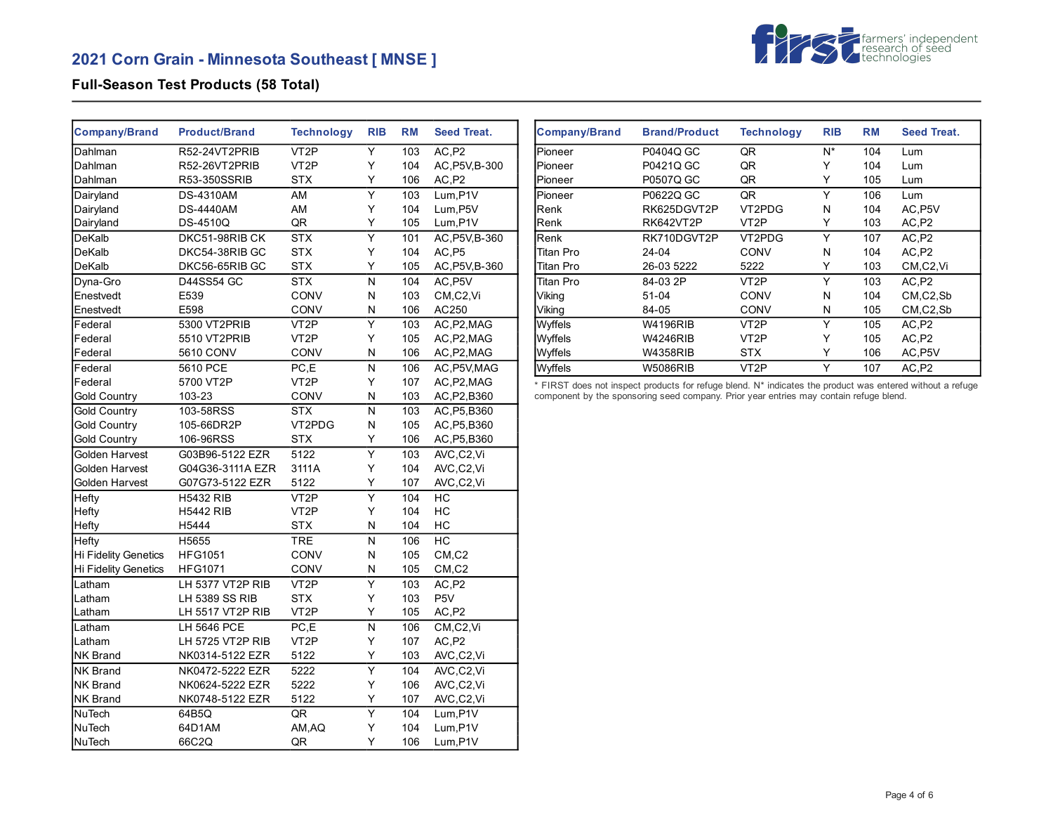

### **Full-Season Test Products (58 Total)**

| Company/Brand               | <b>Product/Brand</b>  | <b>Technology</b> | <b>RIB</b>              | <b>RM</b> | <b>Seed Treat.</b>               |
|-----------------------------|-----------------------|-------------------|-------------------------|-----------|----------------------------------|
| Dahlman                     | R52-24VT2PRIB         | VT <sub>2</sub> P | Υ                       | 103       | AC,P2                            |
| Dahlman                     | R52-26VT2PRIB         | VT2P              | Y                       | 104       | AC, P5V, B-300                   |
| Dahlman                     | R53-350SSRIB          | <b>STX</b>        | Υ                       | 106       | AC, P2                           |
| Dairyland                   | <b>DS-4310AM</b>      | AM                | $\overline{Y}$          | 103       | Lum.P1V                          |
| Dairyland                   | <b>DS-4440AM</b>      | AM                | Υ                       | 104       | Lum, P5V                         |
| Dairyland                   | <b>DS-4510Q</b>       | QR                | Y                       | 105       | Lum, P1V                         |
| DeKalb                      | DKC51-98RIB CK        | <b>STX</b>        | Ÿ                       | 101       | AC, P5V, B-360                   |
| DeKalb                      | DKC54-38RIB GC        | <b>STX</b>        | Y                       | 104       | AC.P5                            |
| DeKalb                      | DKC56-65RIB GC        | STX               | Υ                       | 105       | AC, P5V, B-360                   |
| Dyna-Gro                    | <b>D44SS54 GC</b>     | <b>STX</b>        | N                       | 104       | AC.P5V                           |
| Enestvedt                   | E539                  | CONV              | N                       | 103       | CM,C2,Vi                         |
| Enestvedt                   | E598                  | CONV              | N                       | 106       | AC250                            |
| Federal                     | 5300 VT2PRIB          | VT <sub>2</sub> P | Υ                       | 103       | AC, P2, MAG                      |
| Federal                     | 5510 VT2PRIB          | VT <sub>2</sub> P | Y                       | 105       | AC, P2, MAG                      |
| Federal                     | 5610 CONV             | <b>CONV</b>       | N                       | 106       | AC, P2, MAG                      |
| Federal                     | 5610 PCE              | PC,E              | N                       | 106       | AC, P5V, MAG                     |
| Federal                     | 5700 VT2P             | VT <sub>2</sub> P | Υ                       | 107       | AC, P2, MAG                      |
| <b>Gold Country</b>         | 103-23                | <b>CONV</b>       | N                       | 103       | AC, P2, B360                     |
| <b>Gold Country</b>         | 103-58RSS             | <b>STX</b>        | N                       | 103       | AC, P5, B360                     |
| <b>Gold Country</b>         | 105-66DR2P            | VT2PDG            | Ν                       | 105       | AC, P5, B360                     |
| <b>Gold Country</b>         | 106-96RSS             | <b>STX</b>        | Y                       | 106       | AC, P5, B360                     |
| Golden Harvest              | G03B96-5122 EZR       | 5122              | $\overline{\mathsf{Y}}$ | 103       | AVC,C2,Vi                        |
| Golden Harvest              | G04G36-3111A EZR      | 3111A             | Υ                       | 104       | AVC,C2,Vi                        |
| Golden Harvest              | G07G73-5122 EZR       | 5122              | Υ                       | 107       | AVC,C2,Vi                        |
| Hefty                       | <b>H5432 RIB</b>      | VT <sub>2</sub> P | $\overline{Y}$          | 104       | НC                               |
| Hefty                       | <b>H5442 RIB</b>      | VT <sub>2</sub> P | Υ                       | 104       | НC                               |
| Hefty                       | H5444                 | <b>STX</b>        | N                       | 104       | НC                               |
| Hefty                       | H <sub>5655</sub>     | <b>TRE</b>        | N                       | 106       | HC                               |
| Hi Fidelity Genetics        | <b>HFG1051</b>        | <b>CONV</b>       | N                       | 105       | $CM$ <sub>,<math>C2</math></sub> |
| <b>Hi Fidelity Genetics</b> | <b>HFG1071</b>        | CONV              | Ν                       | 105       | CM,C2                            |
| Latham                      | LH 5377 VT2P RIB      | VT <sub>2</sub> P | Υ                       | 103       | AC,P2                            |
| Latham                      | <b>LH 5389 SS RIB</b> | <b>STX</b>        | Y                       | 103       | P <sub>5</sub> V                 |
| Latham                      | LH 5517 VT2P RIB      | VT <sub>2</sub> P | Υ                       | 105       | AC,P2                            |
| Latham                      | LH 5646 PCE           | PC,E              | N                       | 106       | CM,C2,Vi                         |
| Latham                      | LH 5725 VT2P RIB      | VT <sub>2</sub> P | Y                       | 107       | AC, P2                           |
| NK Brand                    | NK0314-5122 EZR       | 5122              | Υ                       | 103       | AVC,C2,Vi                        |
| <b>NK Brand</b>             | NK0472-5222 EZR       | 5222              | Y                       | 104       | AVC,C2,Vi                        |
| <b>NK Brand</b>             | NK0624-5222 EZR       | 5222              | Υ                       | 106       | AVC,C2,Vi                        |
| <b>NK Brand</b>             | NK0748-5122 EZR       | 5122              | Υ                       | 107       | AVC,C2,Vi                        |
| NuTech                      | 64B5Q                 | QR                | Υ                       | 104       | Lum, P1V                         |
| NuTech                      | 64D1AM                | AM, AQ            | Υ                       | 104       | Lum, P1V                         |
| <b>NuTech</b>               | 66C2Q                 | QR                | Y                       | 106       | Lum, P1V                         |

| <b>Company/Brand</b> | <b>Brand/Product</b> | <b>Technology</b> | <b>RIB</b> | <b>RM</b> | <b>Seed Treat.</b>                  |
|----------------------|----------------------|-------------------|------------|-----------|-------------------------------------|
| Pioneer              | P0404Q GC            | QR                | N*         | 104       | Lum                                 |
| Pioneer              | P0421Q GC            | QR                | Y          | 104       | Lum                                 |
| <b>Pioneer</b>       | P0507Q GC            | QR                | Y          | 105       | Lum                                 |
| Pioneer              | P0622Q GC            | QR                | Υ          | 106       | Lum                                 |
| Renk                 | RK625DGVT2P          | VT2PDG            | N          | 104       | AC, P5V                             |
| Renk                 | RK642VT2P            | VT2P              | Y          | 103       | AC,P <sub>2</sub>                   |
| Renk                 | RK710DGVT2P          | VT2PDG            | Υ          | 107       | AC,P2                               |
| Titan Pro            | $24 - 04$            | CONV              | N          | 104       | AC,P <sub>2</sub>                   |
| Titan Pro            | 26-03 5222           | 5222              | Y          | 103       | CM <sub>.</sub> C <sub>2</sub> , Vi |
| Titan Pro            | 84-03 2P             | VT <sub>2</sub> P | Υ          | 103       | AC.P2                               |
| Viking               | $51-04$              | <b>CONV</b>       | N          | 104       | $CM$ , $C2$ , $Sb$                  |
| Viking               | 84-05                | CONV              | N          | 105       | $CM$ , $C2$ , $Sb$                  |
| Wyffels              | W4196RIB             | VT <sub>2</sub> P | Y          | 105       | AC,P <sub>2</sub>                   |
| Wyffels              | <b>W4246RIB</b>      | VT <sub>2</sub> P | Y          | 105       | AC,P <sub>2</sub>                   |
| Wyffels              | <b>W4358RIB</b>      | <b>STX</b>        | Y          | 106       | AC P <sub>5</sub> V                 |
| Wyffels              | <b>W5086RIB</b>      | VT <sub>2</sub> P | Υ          | 107       | AC,P2                               |

\* FIRST does not inspect products for refuge blend. N\* indicates the product was entered without a refuge component by the sponsoring seed company. Prior year entries may contain refuge blend.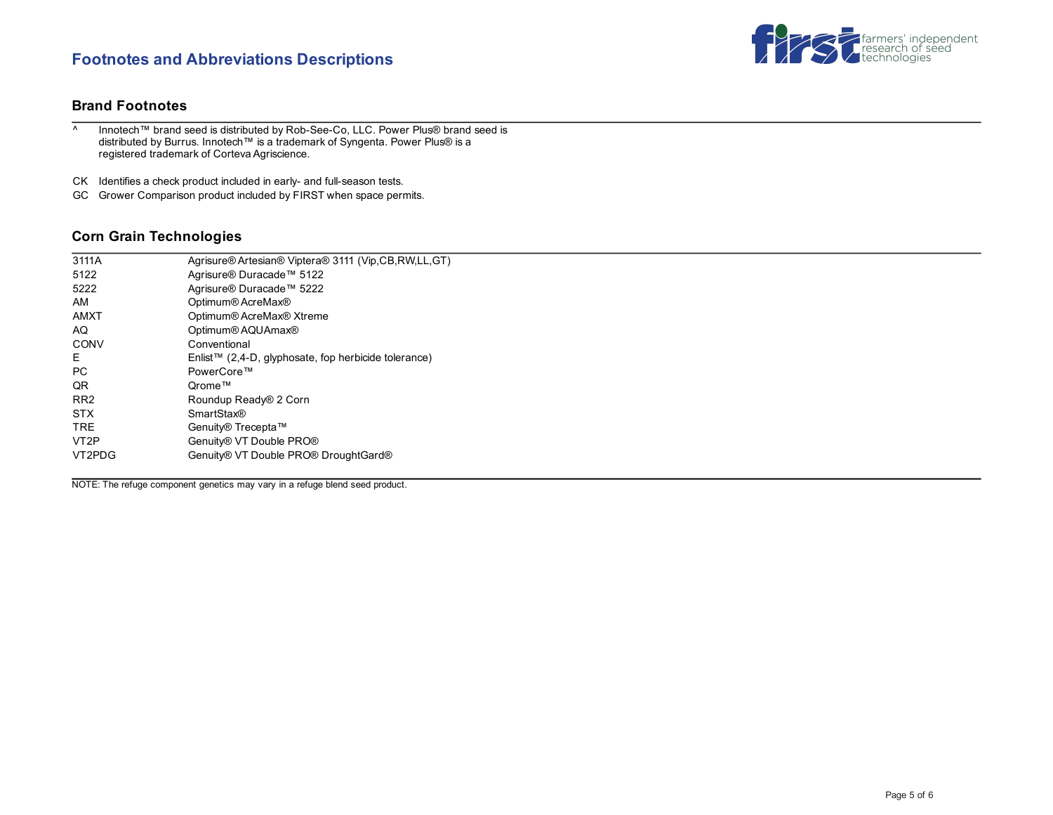## **Footnotes and Abbreviations Descriptions**



#### **Brand Footnotes**

^ Innotech™ brand seed is distributed by Rob-See-Co, LLC. Power Plus® brand seed is distributed by Burrus. Innotech™ is a trademark of Syngenta. Power Plus® is a registered trademark of Corteva Agriscience.

CK Identifies a check product included in early- and full-season tests.

GC Grower Comparison product included by FIRST when space permits.

### **Corn Grain Technologies**

| 3111A             | Agrisure® Artesian® Viptera® 3111 (Vip,CB,RW,LL,GT)  |
|-------------------|------------------------------------------------------|
| 5122              | Agrisure® Duracade™ 5122                             |
| 5222              | Agrisure® Duracade™ 5222                             |
| AM                | Optimum® AcreMax®                                    |
| <b>AMXT</b>       | Optimum® AcreMax® Xtreme                             |
| AQ                | Optimum® AQUAmax®                                    |
| CONV              | Conventional                                         |
| Е                 | Enlist™ (2,4-D, glyphosate, fop herbicide tolerance) |
| PC                | PowerCore™                                           |
| QR.               | Orome™                                               |
| RR <sub>2</sub>   | Roundup Ready® 2 Corn                                |
| <b>STX</b>        | <b>SmartStax®</b>                                    |
| <b>TRE</b>        | Genuity® Trecepta™                                   |
| VT <sub>2</sub> P | Genuity® VT Double PRO®                              |
| VT2PDG            | Genuity® VT Double PRO® DroughtGard®                 |
|                   |                                                      |

NOTE: The refuge component genetics may vary in a refuge blend seed product.